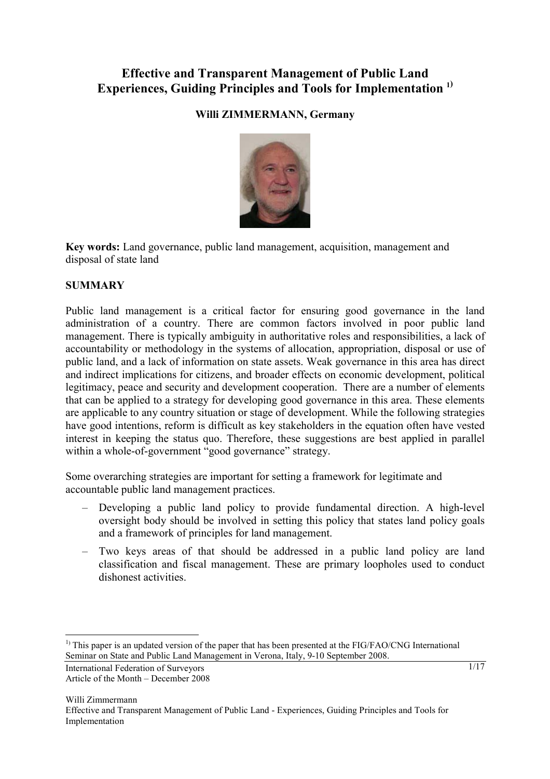# **Effective and Transparent Management of Public Land Experiences, Guiding Principles and Tools for Implementation 1)**

# **Willi ZIMMERMANN, Germany**



**Key words:** Land governance, public land management, acquisition, management and disposal of state land

### **SUMMARY**

Public land management is a critical factor for ensuring good governance in the land administration of a country. There are common factors involved in poor public land management. There is typically ambiguity in authoritative roles and responsibilities, a lack of accountability or methodology in the systems of allocation, appropriation, disposal or use of public land, and a lack of information on state assets. Weak governance in this area has direct and indirect implications for citizens, and broader effects on economic development, political legitimacy, peace and security and development cooperation. There are a number of elements that can be applied to a strategy for developing good governance in this area. These elements are applicable to any country situation or stage of development. While the following strategies have good intentions, reform is difficult as key stakeholders in the equation often have vested interest in keeping the status quo. Therefore, these suggestions are best applied in parallel within a whole-of-government "good governance" strategy.

Some overarching strategies are important for setting a framework for legitimate and accountable public land management practices.

- Developing a public land policy to provide fundamental direction. A high-level oversight body should be involved in setting this policy that states land policy goals and a framework of principles for land management.
- Two keys areas of that should be addressed in a public land policy are land classification and fiscal management. These are primary loopholes used to conduct dishonest activities.

 $\overline{a}$ 

<sup>&</sup>lt;sup>1)</sup> This paper is an updated version of the paper that has been presented at the FIG/FAO/CNG International Seminar on State and Public Land Management in Verona, Italy, 9-10 September 2008.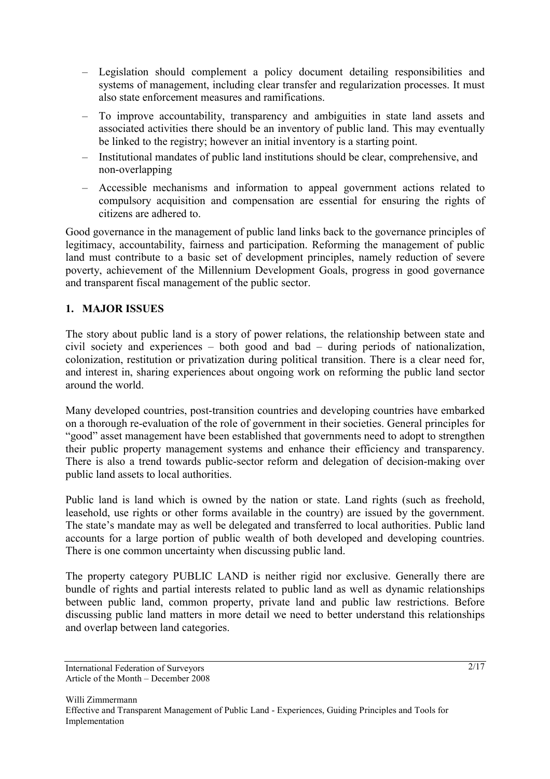- Legislation should complement a policy document detailing responsibilities and systems of management, including clear transfer and regularization processes. It must also state enforcement measures and ramifications.
- To improve accountability, transparency and ambiguities in state land assets and associated activities there should be an inventory of public land. This may eventually be linked to the registry; however an initial inventory is a starting point.
- Institutional mandates of public land institutions should be clear, comprehensive, and non-overlapping
- Accessible mechanisms and information to appeal government actions related to compulsory acquisition and compensation are essential for ensuring the rights of citizens are adhered to.

Good governance in the management of public land links back to the governance principles of legitimacy, accountability, fairness and participation. Reforming the management of public land must contribute to a basic set of development principles, namely reduction of severe poverty, achievement of the Millennium Development Goals, progress in good governance and transparent fiscal management of the public sector.

# **1. MAJOR ISSUES**

The story about public land is a story of power relations, the relationship between state and civil society and experiences – both good and bad – during periods of nationalization, colonization, restitution or privatization during political transition. There is a clear need for, and interest in, sharing experiences about ongoing work on reforming the public land sector around the world.

Many developed countries, post-transition countries and developing countries have embarked on a thorough re-evaluation of the role of government in their societies. General principles for "good" asset management have been established that governments need to adopt to strengthen their public property management systems and enhance their efficiency and transparency. There is also a trend towards public-sector reform and delegation of decision-making over public land assets to local authorities.

Public land is land which is owned by the nation or state. Land rights (such as freehold, leasehold, use rights or other forms available in the country) are issued by the government. The state's mandate may as well be delegated and transferred to local authorities. Public land accounts for a large portion of public wealth of both developed and developing countries. There is one common uncertainty when discussing public land.

The property category PUBLIC LAND is neither rigid nor exclusive. Generally there are bundle of rights and partial interests related to public land as well as dynamic relationships between public land, common property, private land and public law restrictions. Before discussing public land matters in more detail we need to better understand this relationships and overlap between land categories.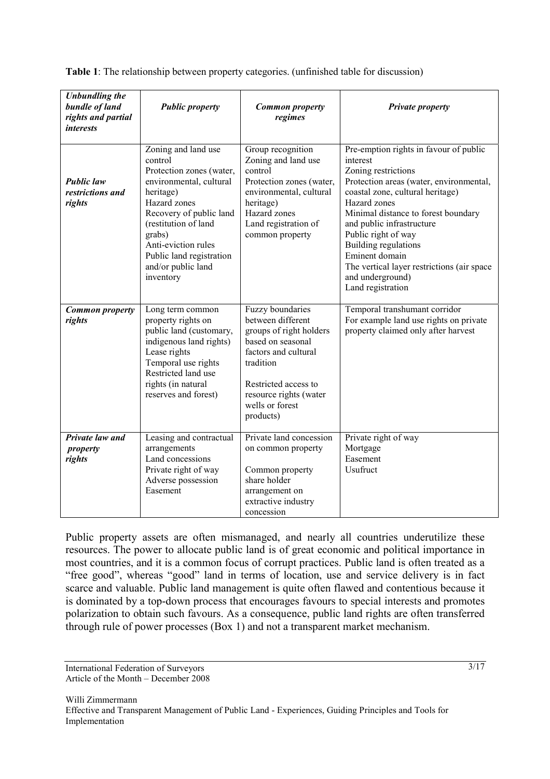| <b>Unbundling the</b><br>bundle of land<br>rights and partial<br><i>interests</i> | <b>Public property</b>                                                                                                                                                                                                                                                | <b>Common property</b><br>regimes                                                                                                                                                                            | <b>Private property</b>                                                                                                                                                                                                                                                                                                                                                                              |
|-----------------------------------------------------------------------------------|-----------------------------------------------------------------------------------------------------------------------------------------------------------------------------------------------------------------------------------------------------------------------|--------------------------------------------------------------------------------------------------------------------------------------------------------------------------------------------------------------|------------------------------------------------------------------------------------------------------------------------------------------------------------------------------------------------------------------------------------------------------------------------------------------------------------------------------------------------------------------------------------------------------|
| <b>Public law</b><br>restrictions and<br>rights                                   | Zoning and land use<br>control<br>Protection zones (water,<br>environmental, cultural<br>heritage)<br>Hazard zones<br>Recovery of public land<br>(restitution of land<br>grabs)<br>Anti-eviction rules<br>Public land registration<br>and/or public land<br>inventory | Group recognition<br>Zoning and land use<br>control<br>Protection zones (water,<br>environmental, cultural<br>heritage)<br>Hazard zones<br>Land registration of<br>common property                           | Pre-emption rights in favour of public<br>interest<br>Zoning restrictions<br>Protection areas (water, environmental,<br>coastal zone, cultural heritage)<br>Hazard zones<br>Minimal distance to forest boundary<br>and public infrastructure<br>Public right of way<br>Building regulations<br>Eminent domain<br>The vertical layer restrictions (air space<br>and underground)<br>Land registration |
| <b>Common property</b><br>rights                                                  | Long term common<br>property rights on<br>public land (customary,<br>indigenous land rights)<br>Lease rights<br>Temporal use rights<br>Restricted land use<br>rights (in natural<br>reserves and forest)                                                              | Fuzzy boundaries<br>between different<br>groups of right holders<br>based on seasonal<br>factors and cultural<br>tradition<br>Restricted access to<br>resource rights (water<br>wells or forest<br>products) | Temporal transhumant corridor<br>For example land use rights on private<br>property claimed only after harvest                                                                                                                                                                                                                                                                                       |
| Private law and<br>property<br>rights                                             | Leasing and contractual<br>arrangements<br>Land concessions<br>Private right of way<br>Adverse possession<br>Easement                                                                                                                                                 | Private land concession<br>on common property<br>Common property<br>share holder<br>arrangement on<br>extractive industry<br>concession                                                                      | Private right of way<br>Mortgage<br>Easement<br><b>Usufruct</b>                                                                                                                                                                                                                                                                                                                                      |

**Table 1**: The relationship between property categories. (unfinished table for discussion)

Public property assets are often mismanaged, and nearly all countries underutilize these resources. The power to allocate public land is of great economic and political importance in most countries, and it is a common focus of corrupt practices. Public land is often treated as a "free good", whereas "good" land in terms of location, use and service delivery is in fact scarce and valuable. Public land management is quite often flawed and contentious because it is dominated by a top-down process that encourages favours to special interests and promotes polarization to obtain such favours. As a consequence, public land rights are often transferred through rule of power processes (Box 1) and not a transparent market mechanism.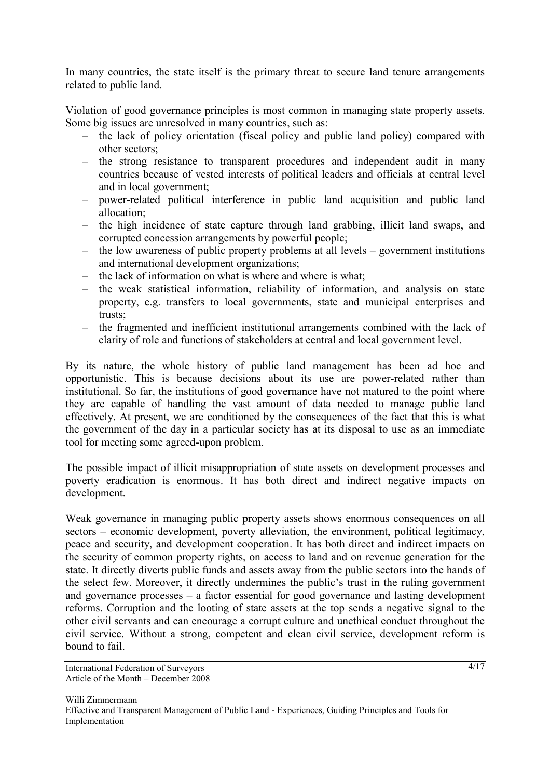In many countries, the state itself is the primary threat to secure land tenure arrangements related to public land.

Violation of good governance principles is most common in managing state property assets. Some big issues are unresolved in many countries, such as:

- the lack of policy orientation (fiscal policy and public land policy) compared with other sectors;
- the strong resistance to transparent procedures and independent audit in many countries because of vested interests of political leaders and officials at central level and in local government;
- power-related political interference in public land acquisition and public land allocation;
- the high incidence of state capture through land grabbing, illicit land swaps, and corrupted concession arrangements by powerful people;
- the low awareness of public property problems at all levels government institutions and international development organizations;
- the lack of information on what is where and where is what;
- the weak statistical information, reliability of information, and analysis on state property, e.g. transfers to local governments, state and municipal enterprises and trusts;
- the fragmented and inefficient institutional arrangements combined with the lack of clarity of role and functions of stakeholders at central and local government level.

By its nature, the whole history of public land management has been ad hoc and opportunistic. This is because decisions about its use are power-related rather than institutional. So far, the institutions of good governance have not matured to the point where they are capable of handling the vast amount of data needed to manage public land effectively. At present, we are conditioned by the consequences of the fact that this is what the government of the day in a particular society has at its disposal to use as an immediate tool for meeting some agreed-upon problem.

The possible impact of illicit misappropriation of state assets on development processes and poverty eradication is enormous. It has both direct and indirect negative impacts on development.

Weak governance in managing public property assets shows enormous consequences on all sectors – economic development, poverty alleviation, the environment, political legitimacy, peace and security, and development cooperation. It has both direct and indirect impacts on the security of common property rights, on access to land and on revenue generation for the state. It directly diverts public funds and assets away from the public sectors into the hands of the select few. Moreover, it directly undermines the public's trust in the ruling government and governance processes – a factor essential for good governance and lasting development reforms. Corruption and the looting of state assets at the top sends a negative signal to the other civil servants and can encourage a corrupt culture and unethical conduct throughout the civil service. Without a strong, competent and clean civil service, development reform is bound to fail.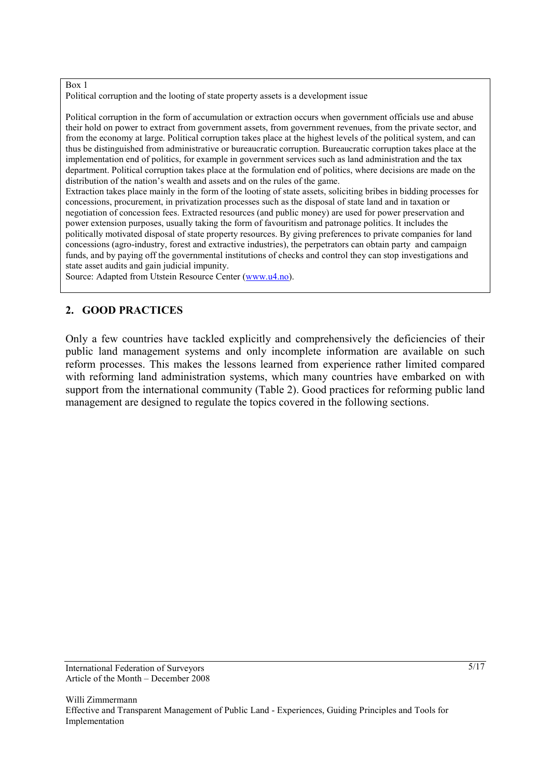#### Box 1

Political corruption and the looting of state property assets is a development issue

Political corruption in the form of accumulation or extraction occurs when government officials use and abuse their hold on power to extract from government assets, from government revenues, from the private sector, and from the economy at large. Political corruption takes place at the highest levels of the political system, and can thus be distinguished from administrative or bureaucratic corruption. Bureaucratic corruption takes place at the implementation end of politics, for example in government services such as land administration and the tax department. Political corruption takes place at the formulation end of politics, where decisions are made on the distribution of the nation's wealth and assets and on the rules of the game.

Extraction takes place mainly in the form of the looting of state assets, soliciting bribes in bidding processes for concessions, procurement, in privatization processes such as the disposal of state land and in taxation or negotiation of concession fees. Extracted resources (and public money) are used for power preservation and power extension purposes, usually taking the form of favouritism and patronage politics. It includes the politically motivated disposal of state property resources. By giving preferences to private companies for land concessions (agro-industry, forest and extractive industries), the perpetrators can obtain party and campaign funds, and by paying off the governmental institutions of checks and control they can stop investigations and state asset audits and gain judicial impunity.

Source: Adapted from Utstein Resource Center (www.u4.no).

### **2. GOOD PRACTICES**

Only a few countries have tackled explicitly and comprehensively the deficiencies of their public land management systems and only incomplete information are available on such reform processes. This makes the lessons learned from experience rather limited compared with reforming land administration systems, which many countries have embarked on with support from the international community (Table 2). Good practices for reforming public land management are designed to regulate the topics covered in the following sections.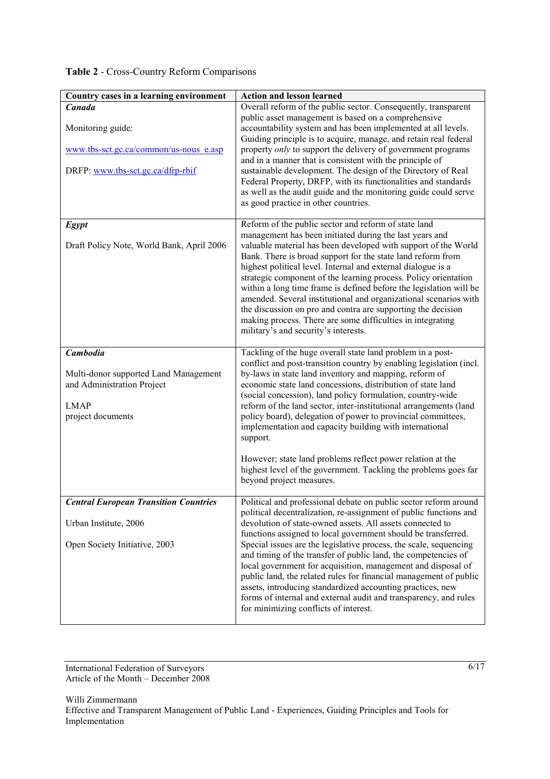# **Table 2** - Cross-Country Reform Comparisons

| Country cases in a learning environment                                                                                    | <b>Action and lesson learned</b>                                                                                                                                                                                                                                                                                                                                                                                                                                                                                                                                                                                                                                                                                           |
|----------------------------------------------------------------------------------------------------------------------------|----------------------------------------------------------------------------------------------------------------------------------------------------------------------------------------------------------------------------------------------------------------------------------------------------------------------------------------------------------------------------------------------------------------------------------------------------------------------------------------------------------------------------------------------------------------------------------------------------------------------------------------------------------------------------------------------------------------------------|
| Canada<br>Monitoring guide:<br>www.tbs-sct.gc.ca/common/us-nous e.asp<br>DRFP: www.tbs-sct.gc.ca/dfrp-rbif                 | Overall reform of the public sector. Consequently, transparent<br>public asset management is based on a comprehensive<br>accountability system and has been implemented at all levels.<br>Guiding principle is to acquire, manage, and retain real federal<br>property <i>only</i> to support the delivery of government programs<br>and in a manner that is consistent with the principle of<br>sustainable development. The design of the Directory of Real<br>Federal Property, DRFP, with its functionalities and standards<br>as well as the audit guide and the monitoring guide could serve<br>as good practice in other countries.                                                                                 |
| <b>Egypt</b><br>Draft Policy Note, World Bank, April 2006                                                                  | Reform of the public sector and reform of state land<br>management has been initiated during the last years and<br>valuable material has been developed with support of the World<br>Bank. There is broad support for the state land reform from<br>highest political level. Internal and external dialogue is a<br>strategic component of the learning process. Policy orientation<br>within a long time frame is defined before the legislation will be<br>amended. Several institutional and organizational scenarios with<br>the discussion on pro and contra are supporting the decision<br>making process. There are some difficulties in integrating<br>military's and security's interests.                        |
| <b>Cambodia</b><br>Multi-donor supported Land Management<br>and Administration Project<br><b>LMAP</b><br>project documents | Tackling of the huge overall state land problem in a post-<br>conflict and post-transition country by enabling legislation (incl.<br>by-laws in state land inventory and mapping, reform of<br>economic state land concessions, distribution of state land<br>(social concession), land policy formulation, country-wide<br>reform of the land sector, inter-institutional arrangements (land<br>policy board), delegation of power to provincial committees,<br>implementation and capacity building with international<br>support.<br>However; state land problems reflect power relation at the<br>highest level of the government. Tackling the problems goes far<br>beyond project measures.                          |
| <b>Central European Transition Countries</b><br>Urban Institute, 2006<br>Open Society Initiative, 2003                     | Political and professional debate on public sector reform around<br>political decentralization, re-assignment of public functions and<br>devolution of state-owned assets. All assets connected to<br>functions assigned to local government should be transferred.<br>Special issues are the legislative process, the scale, sequencing<br>and timing of the transfer of public land, the competencies of<br>local government for acquisition, management and disposal of<br>public land, the related rules for financial management of public<br>assets, introducing standardized accounting practices, new<br>forms of internal and external audit and transparency, and rules<br>for minimizing conflicts of interest. |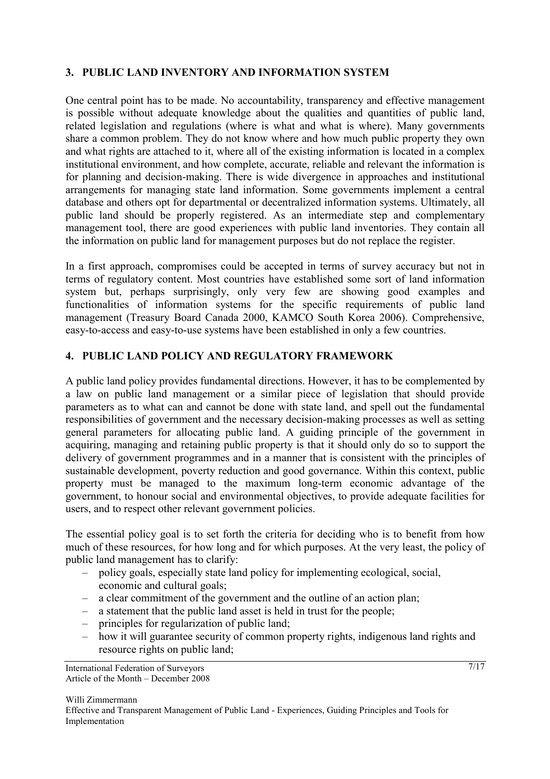## **3. PUBLIC LAND INVENTORY AND INFORMATION SYSTEM**

One central point has to be made. No accountability, transparency and effective management is possible without adequate knowledge about the qualities and quantities of public land, related legislation and regulations (where is what and what is where). Many governments share a common problem. They do not know where and how much public property they own and what rights are attached to it, where all of the existing information is located in a complex institutional environment, and how complete, accurate, reliable and relevant the information is for planning and decision-making. There is wide divergence in approaches and institutional arrangements for managing state land information. Some governments implement a central database and others opt for departmental or decentralized information systems. Ultimately, all public land should be properly registered. As an intermediate step and complementary management tool, there are good experiences with public land inventories. They contain all the information on public land for management purposes but do not replace the register.

In a first approach, compromises could be accepted in terms of survey accuracy but not in terms of regulatory content. Most countries have established some sort of land information system but, perhaps surprisingly, only very few are showing good examples and functionalities of information systems for the specific requirements of public land management (Treasury Board Canada 2000, KAMCO South Korea 2006). Comprehensive, easy-to-access and easy-to-use systems have been established in only a few countries.

### **4. PUBLIC LAND POLICY AND REGULATORY FRAMEWORK**

A public land policy provides fundamental directions. However, it has to be complemented by a law on public land management or a similar piece of legislation that should provide parameters as to what can and cannot be done with state land, and spell out the fundamental responsibilities of government and the necessary decision-making processes as well as setting general parameters for allocating public land. A guiding principle of the government in acquiring, managing and retaining public property is that it should only do so to support the delivery of government programmes and in a manner that is consistent with the principles of sustainable development, poverty reduction and good governance. Within this context, public property must be managed to the maximum long-term economic advantage of the government, to honour social and environmental objectives, to provide adequate facilities for users, and to respect other relevant government policies.

The essential policy goal is to set forth the criteria for deciding who is to benefit from how much of these resources, for how long and for which purposes. At the very least, the policy of public land management has to clarify:

- policy goals, especially state land policy for implementing ecological, social, economic and cultural goals;
- a clear commitment of the government and the outline of an action plan;
- a statement that the public land asset is held in trust for the people;
- principles for regularization of public land;
- how it will guarantee security of common property rights, indigenous land rights and resource rights on public land;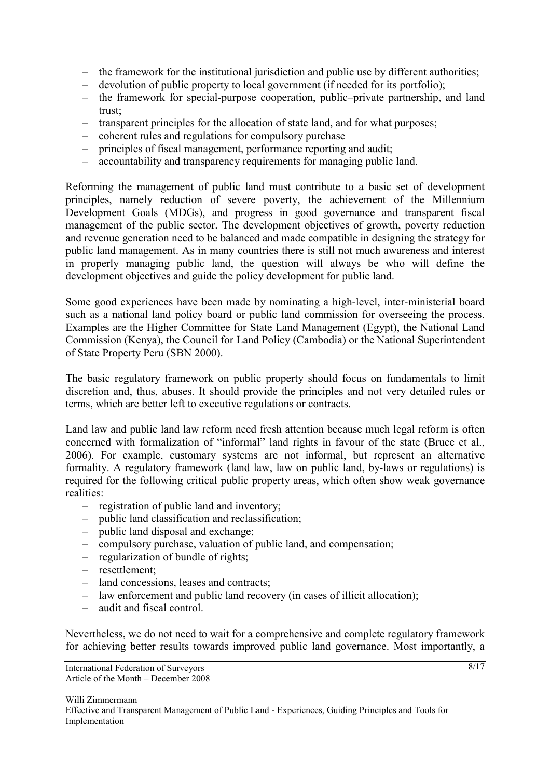- the framework for the institutional jurisdiction and public use by different authorities;
- devolution of public property to local government (if needed for its portfolio);
- the framework for special-purpose cooperation, public–private partnership, and land trust;
- transparent principles for the allocation of state land, and for what purposes;
- coherent rules and regulations for compulsory purchase
- principles of fiscal management, performance reporting and audit;
- accountability and transparency requirements for managing public land.

Reforming the management of public land must contribute to a basic set of development principles, namely reduction of severe poverty, the achievement of the Millennium Development Goals (MDGs), and progress in good governance and transparent fiscal management of the public sector. The development objectives of growth, poverty reduction and revenue generation need to be balanced and made compatible in designing the strategy for public land management. As in many countries there is still not much awareness and interest in properly managing public land, the question will always be who will define the development objectives and guide the policy development for public land.

Some good experiences have been made by nominating a high-level, inter-ministerial board such as a national land policy board or public land commission for overseeing the process. Examples are the Higher Committee for State Land Management (Egypt), the National Land Commission (Kenya), the Council for Land Policy (Cambodia) or the National Superintendent of State Property Peru (SBN 2000).

The basic regulatory framework on public property should focus on fundamentals to limit discretion and, thus, abuses. It should provide the principles and not very detailed rules or terms, which are better left to executive regulations or contracts.

Land law and public land law reform need fresh attention because much legal reform is often concerned with formalization of "informal" land rights in favour of the state (Bruce et al., 2006). For example, customary systems are not informal, but represent an alternative formality. A regulatory framework (land law, law on public land, by-laws or regulations) is required for the following critical public property areas, which often show weak governance realities:

- registration of public land and inventory;
- public land classification and reclassification;
- public land disposal and exchange;
- compulsory purchase, valuation of public land, and compensation;
- regularization of bundle of rights;
- resettlement;
- land concessions, leases and contracts;
- law enforcement and public land recovery (in cases of illicit allocation);
- audit and fiscal control.

Nevertheless, we do not need to wait for a comprehensive and complete regulatory framework for achieving better results towards improved public land governance. Most importantly, a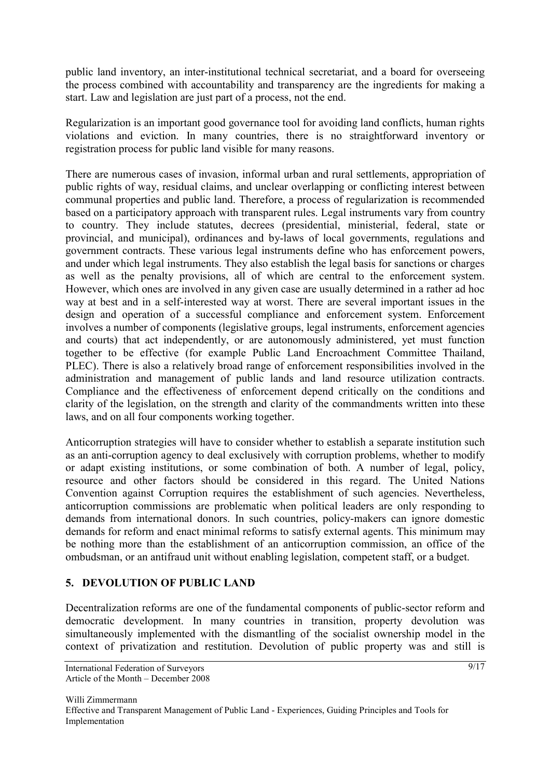public land inventory, an inter-institutional technical secretariat, and a board for overseeing the process combined with accountability and transparency are the ingredients for making a start. Law and legislation are just part of a process, not the end.

Regularization is an important good governance tool for avoiding land conflicts, human rights violations and eviction. In many countries, there is no straightforward inventory or registration process for public land visible for many reasons.

There are numerous cases of invasion, informal urban and rural settlements, appropriation of public rights of way, residual claims, and unclear overlapping or conflicting interest between communal properties and public land. Therefore, a process of regularization is recommended based on a participatory approach with transparent rules. Legal instruments vary from country to country. They include statutes, decrees (presidential, ministerial, federal, state or provincial, and municipal), ordinances and by-laws of local governments, regulations and government contracts. These various legal instruments define who has enforcement powers, and under which legal instruments. They also establish the legal basis for sanctions or charges as well as the penalty provisions, all of which are central to the enforcement system. However, which ones are involved in any given case are usually determined in a rather ad hoc way at best and in a self-interested way at worst. There are several important issues in the design and operation of a successful compliance and enforcement system. Enforcement involves a number of components (legislative groups, legal instruments, enforcement agencies and courts) that act independently, or are autonomously administered, yet must function together to be effective (for example Public Land Encroachment Committee Thailand, PLEC). There is also a relatively broad range of enforcement responsibilities involved in the administration and management of public lands and land resource utilization contracts. Compliance and the effectiveness of enforcement depend critically on the conditions and clarity of the legislation, on the strength and clarity of the commandments written into these laws, and on all four components working together.

Anticorruption strategies will have to consider whether to establish a separate institution such as an anti-corruption agency to deal exclusively with corruption problems, whether to modify or adapt existing institutions, or some combination of both. A number of legal, policy, resource and other factors should be considered in this regard. The United Nations Convention against Corruption requires the establishment of such agencies. Nevertheless, anticorruption commissions are problematic when political leaders are only responding to demands from international donors. In such countries, policy-makers can ignore domestic demands for reform and enact minimal reforms to satisfy external agents. This minimum may be nothing more than the establishment of an anticorruption commission, an office of the ombudsman, or an antifraud unit without enabling legislation, competent staff, or a budget.

### **5. DEVOLUTION OF PUBLIC LAND**

Decentralization reforms are one of the fundamental components of public-sector reform and democratic development. In many countries in transition, property devolution was simultaneously implemented with the dismantling of the socialist ownership model in the context of privatization and restitution. Devolution of public property was and still is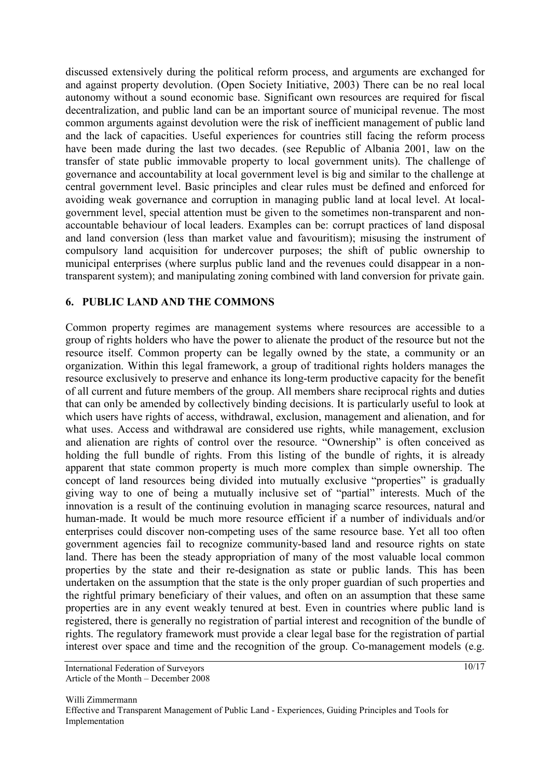discussed extensively during the political reform process, and arguments are exchanged for and against property devolution. (Open Society Initiative, 2003) There can be no real local autonomy without a sound economic base. Significant own resources are required for fiscal decentralization, and public land can be an important source of municipal revenue. The most common arguments against devolution were the risk of inefficient management of public land and the lack of capacities. Useful experiences for countries still facing the reform process have been made during the last two decades. (see Republic of Albania 2001, law on the transfer of state public immovable property to local government units). The challenge of governance and accountability at local government level is big and similar to the challenge at central government level. Basic principles and clear rules must be defined and enforced for avoiding weak governance and corruption in managing public land at local level. At localgovernment level, special attention must be given to the sometimes non-transparent and nonaccountable behaviour of local leaders. Examples can be: corrupt practices of land disposal and land conversion (less than market value and favouritism); misusing the instrument of compulsory land acquisition for undercover purposes; the shift of public ownership to municipal enterprises (where surplus public land and the revenues could disappear in a nontransparent system); and manipulating zoning combined with land conversion for private gain.

### **6. PUBLIC LAND AND THE COMMONS**

Common property regimes are management systems where resources are accessible to a group of rights holders who have the power to alienate the product of the resource but not the resource itself. Common property can be legally owned by the state, a community or an organization. Within this legal framework, a group of traditional rights holders manages the resource exclusively to preserve and enhance its long-term productive capacity for the benefit of all current and future members of the group. All members share reciprocal rights and duties that can only be amended by collectively binding decisions. It is particularly useful to look at which users have rights of access, withdrawal, exclusion, management and alienation, and for what uses. Access and withdrawal are considered use rights, while management, exclusion and alienation are rights of control over the resource. "Ownership" is often conceived as holding the full bundle of rights. From this listing of the bundle of rights, it is already apparent that state common property is much more complex than simple ownership. The concept of land resources being divided into mutually exclusive "properties" is gradually giving way to one of being a mutually inclusive set of "partial" interests. Much of the innovation is a result of the continuing evolution in managing scarce resources, natural and human-made. It would be much more resource efficient if a number of individuals and/or enterprises could discover non-competing uses of the same resource base. Yet all too often government agencies fail to recognize community-based land and resource rights on state land. There has been the steady appropriation of many of the most valuable local common properties by the state and their re-designation as state or public lands. This has been undertaken on the assumption that the state is the only proper guardian of such properties and the rightful primary beneficiary of their values, and often on an assumption that these same properties are in any event weakly tenured at best. Even in countries where public land is registered, there is generally no registration of partial interest and recognition of the bundle of rights. The regulatory framework must provide a clear legal base for the registration of partial interest over space and time and the recognition of the group. Co-management models (e.g.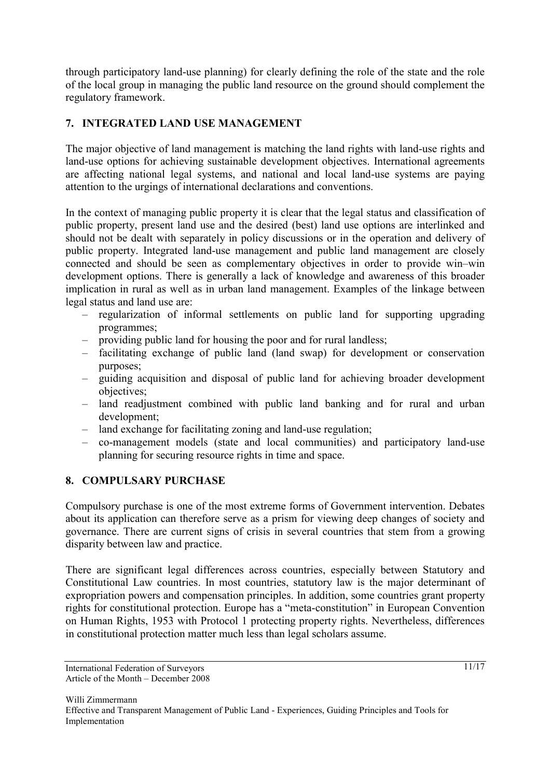through participatory land-use planning) for clearly defining the role of the state and the role of the local group in managing the public land resource on the ground should complement the regulatory framework.

# **7. INTEGRATED LAND USE MANAGEMENT**

The major objective of land management is matching the land rights with land-use rights and land-use options for achieving sustainable development objectives. International agreements are affecting national legal systems, and national and local land-use systems are paying attention to the urgings of international declarations and conventions.

In the context of managing public property it is clear that the legal status and classification of public property, present land use and the desired (best) land use options are interlinked and should not be dealt with separately in policy discussions or in the operation and delivery of public property. Integrated land-use management and public land management are closely connected and should be seen as complementary objectives in order to provide win–win development options. There is generally a lack of knowledge and awareness of this broader implication in rural as well as in urban land management. Examples of the linkage between legal status and land use are:

- regularization of informal settlements on public land for supporting upgrading programmes;
- providing public land for housing the poor and for rural landless;
- facilitating exchange of public land (land swap) for development or conservation purposes;
- guiding acquisition and disposal of public land for achieving broader development objectives;
- land readjustment combined with public land banking and for rural and urban development;
- land exchange for facilitating zoning and land-use regulation;
- co-management models (state and local communities) and participatory land-use planning for securing resource rights in time and space.

### **8. COMPULSARY PURCHASE**

Compulsory purchase is one of the most extreme forms of Government intervention. Debates about its application can therefore serve as a prism for viewing deep changes of society and governance. There are current signs of crisis in several countries that stem from a growing disparity between law and practice.

There are significant legal differences across countries, especially between Statutory and Constitutional Law countries. In most countries, statutory law is the major determinant of expropriation powers and compensation principles. In addition, some countries grant property rights for constitutional protection. Europe has a "meta-constitution" in European Convention on Human Rights, 1953 with Protocol 1 protecting property rights. Nevertheless, differences in constitutional protection matter much less than legal scholars assume.

International Federation of Surveyors Article of the Month – December 2008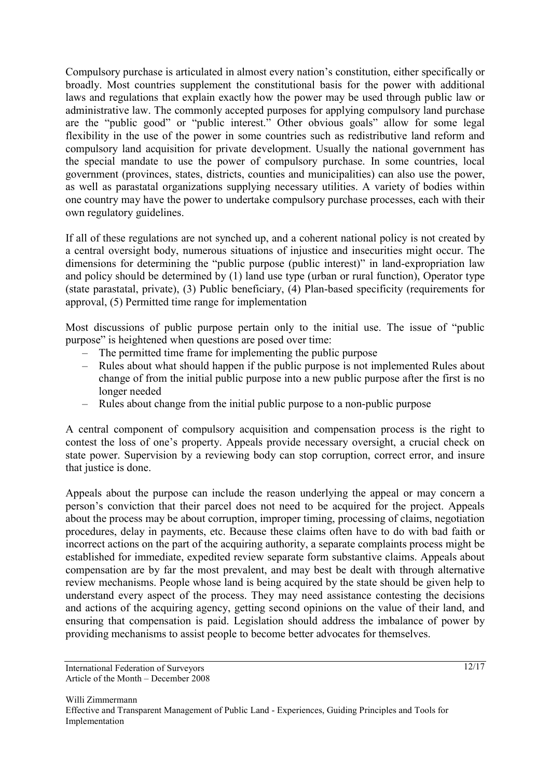Compulsory purchase is articulated in almost every nation's constitution, either specifically or broadly. Most countries supplement the constitutional basis for the power with additional laws and regulations that explain exactly how the power may be used through public law or administrative law. The commonly accepted purposes for applying compulsory land purchase are the "public good" or "public interest." Other obvious goals" allow for some legal flexibility in the use of the power in some countries such as redistributive land reform and compulsory land acquisition for private development. Usually the national government has the special mandate to use the power of compulsory purchase. In some countries, local government (provinces, states, districts, counties and municipalities) can also use the power, as well as parastatal organizations supplying necessary utilities. A variety of bodies within one country may have the power to undertake compulsory purchase processes, each with their own regulatory guidelines.

If all of these regulations are not synched up, and a coherent national policy is not created by a central oversight body, numerous situations of injustice and insecurities might occur. The dimensions for determining the "public purpose (public interest)" in land-expropriation law and policy should be determined by (1) land use type (urban or rural function), Operator type (state parastatal, private), (3) Public beneficiary, (4) Plan-based specificity (requirements for approval, (5) Permitted time range for implementation

Most discussions of public purpose pertain only to the initial use. The issue of "public purpose" is heightened when questions are posed over time:

- The permitted time frame for implementing the public purpose
- Rules about what should happen if the public purpose is not implemented Rules about change of from the initial public purpose into a new public purpose after the first is no longer needed
- Rules about change from the initial public purpose to a non-public purpose

A central component of compulsory acquisition and compensation process is the right to contest the loss of one's property. Appeals provide necessary oversight, a crucial check on state power. Supervision by a reviewing body can stop corruption, correct error, and insure that justice is done.

Appeals about the purpose can include the reason underlying the appeal or may concern a person's conviction that their parcel does not need to be acquired for the project. Appeals about the process may be about corruption, improper timing, processing of claims, negotiation procedures, delay in payments, etc. Because these claims often have to do with bad faith or incorrect actions on the part of the acquiring authority, a separate complaints process might be established for immediate, expedited review separate form substantive claims. Appeals about compensation are by far the most prevalent, and may best be dealt with through alternative review mechanisms. People whose land is being acquired by the state should be given help to understand every aspect of the process. They may need assistance contesting the decisions and actions of the acquiring agency, getting second opinions on the value of their land, and ensuring that compensation is paid. Legislation should address the imbalance of power by providing mechanisms to assist people to become better advocates for themselves.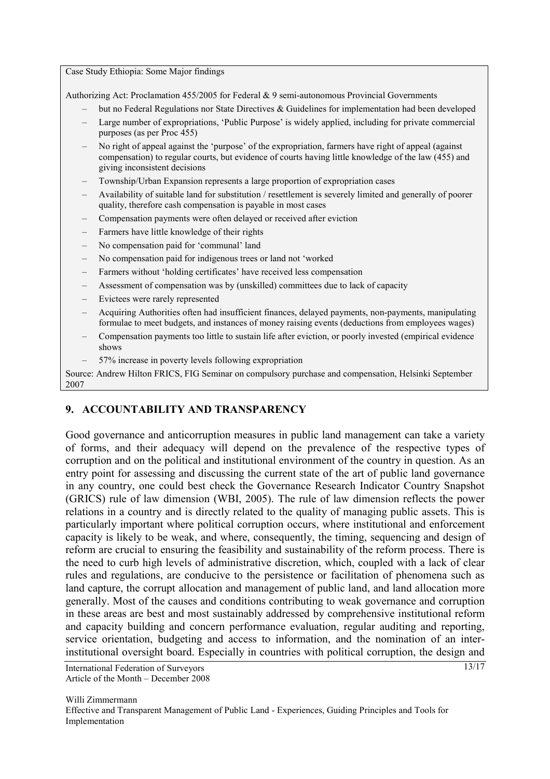Case Study Ethiopia: Some Major findings

Authorizing Act: Proclamation 455/2005 for Federal & 9 semi-autonomous Provincial Governments

- but no Federal Regulations nor State Directives  $\&$  Guidelines for implementation had been developed
- Large number of expropriations, 'Public Purpose' is widely applied, including for private commercial purposes (as per Proc 455)
- No right of appeal against the 'purpose' of the expropriation, farmers have right of appeal (against compensation) to regular courts, but evidence of courts having little knowledge of the law (455) and giving inconsistent decisions
- Township/Urban Expansion represents a large proportion of expropriation cases
- Availability of suitable land for substitution / resettlement is severely limited and generally of poorer quality, therefore cash compensation is payable in most cases
- Compensation payments were often delayed or received after eviction
- Farmers have little knowledge of their rights
- No compensation paid for 'communal' land
- No compensation paid for indigenous trees or land not 'worked
- Farmers without 'holding certificates' have received less compensation
- Assessment of compensation was by (unskilled) committees due to lack of capacity
- Evictees were rarely represented
- Acquiring Authorities often had insufficient finances, delayed payments, non-payments, manipulating formulae to meet budgets, and instances of money raising events (deductions from employees wages)
- Compensation payments too little to sustain life after eviction, or poorly invested (empirical evidence shows
- 57% increase in poverty levels following expropriation

Source: Andrew Hilton FRICS, FIG Seminar on compulsory purchase and compensation, Helsinki September 2007

### **9. ACCOUNTABILITY AND TRANSPARENCY**

Good governance and anticorruption measures in public land management can take a variety of forms, and their adequacy will depend on the prevalence of the respective types of corruption and on the political and institutional environment of the country in question. As an entry point for assessing and discussing the current state of the art of public land governance in any country, one could best check the Governance Research Indicator Country Snapshot (GRICS) rule of law dimension (WBI, 2005). The rule of law dimension reflects the power relations in a country and is directly related to the quality of managing public assets. This is particularly important where political corruption occurs, where institutional and enforcement capacity is likely to be weak, and where, consequently, the timing, sequencing and design of reform are crucial to ensuring the feasibility and sustainability of the reform process. There is the need to curb high levels of administrative discretion, which, coupled with a lack of clear rules and regulations, are conducive to the persistence or facilitation of phenomena such as land capture, the corrupt allocation and management of public land, and land allocation more generally. Most of the causes and conditions contributing to weak governance and corruption in these areas are best and most sustainably addressed by comprehensive institutional reform and capacity building and concern performance evaluation, regular auditing and reporting, service orientation, budgeting and access to information, and the nomination of an interinstitutional oversight board. Especially in countries with political corruption, the design and

International Federation of Surveyors Article of the Month – December 2008 13/17

Willi Zimmermann Effective and Transparent Management of Public Land - Experiences, Guiding Principles and Tools for Implementation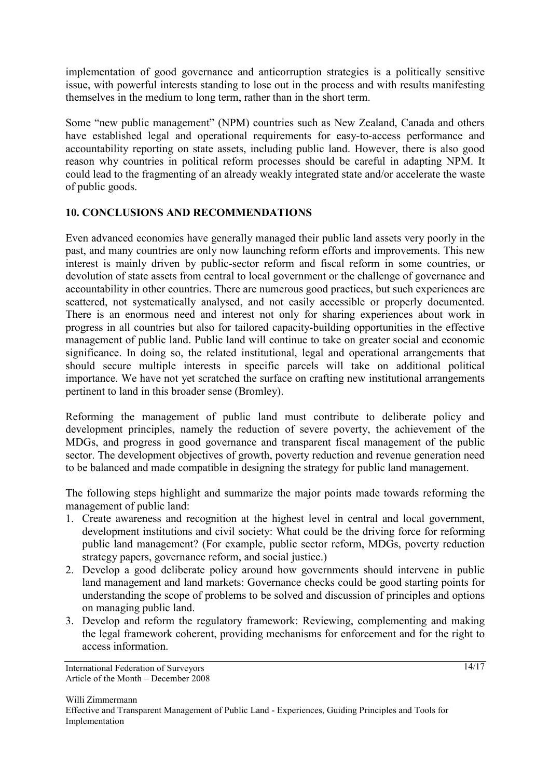implementation of good governance and anticorruption strategies is a politically sensitive issue, with powerful interests standing to lose out in the process and with results manifesting themselves in the medium to long term, rather than in the short term.

Some "new public management" (NPM) countries such as New Zealand, Canada and others have established legal and operational requirements for easy-to-access performance and accountability reporting on state assets, including public land. However, there is also good reason why countries in political reform processes should be careful in adapting NPM. It could lead to the fragmenting of an already weakly integrated state and/or accelerate the waste of public goods.

# **10. CONCLUSIONS AND RECOMMENDATIONS**

Even advanced economies have generally managed their public land assets very poorly in the past, and many countries are only now launching reform efforts and improvements. This new interest is mainly driven by public-sector reform and fiscal reform in some countries, or devolution of state assets from central to local government or the challenge of governance and accountability in other countries. There are numerous good practices, but such experiences are scattered, not systematically analysed, and not easily accessible or properly documented. There is an enormous need and interest not only for sharing experiences about work in progress in all countries but also for tailored capacity-building opportunities in the effective management of public land. Public land will continue to take on greater social and economic significance. In doing so, the related institutional, legal and operational arrangements that should secure multiple interests in specific parcels will take on additional political importance. We have not yet scratched the surface on crafting new institutional arrangements pertinent to land in this broader sense (Bromley).

Reforming the management of public land must contribute to deliberate policy and development principles, namely the reduction of severe poverty, the achievement of the MDGs, and progress in good governance and transparent fiscal management of the public sector. The development objectives of growth, poverty reduction and revenue generation need to be balanced and made compatible in designing the strategy for public land management.

The following steps highlight and summarize the major points made towards reforming the management of public land:

- 1. Create awareness and recognition at the highest level in central and local government, development institutions and civil society: What could be the driving force for reforming public land management? (For example, public sector reform, MDGs, poverty reduction strategy papers, governance reform, and social justice.)
- 2. Develop a good deliberate policy around how governments should intervene in public land management and land markets: Governance checks could be good starting points for understanding the scope of problems to be solved and discussion of principles and options on managing public land.
- 3. Develop and reform the regulatory framework: Reviewing, complementing and making the legal framework coherent, providing mechanisms for enforcement and for the right to access information.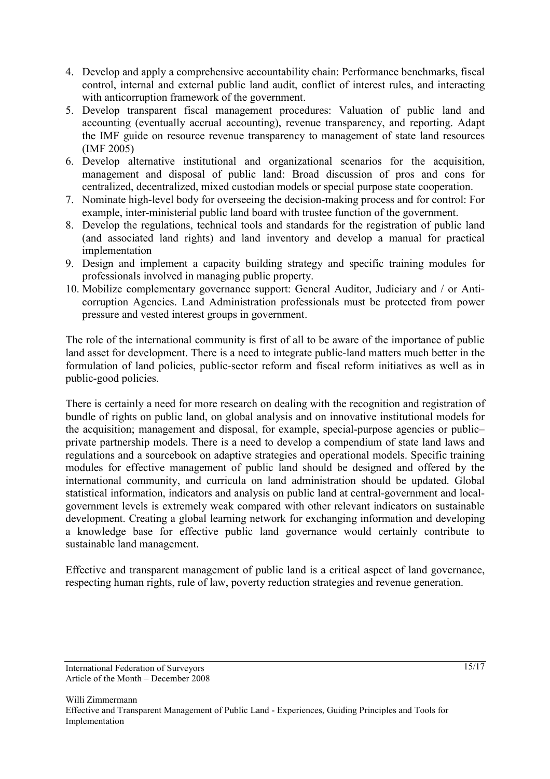- 4. Develop and apply a comprehensive accountability chain: Performance benchmarks, fiscal control, internal and external public land audit, conflict of interest rules, and interacting with anticorruption framework of the government.
- 5. Develop transparent fiscal management procedures: Valuation of public land and accounting (eventually accrual accounting), revenue transparency, and reporting. Adapt the IMF guide on resource revenue transparency to management of state land resources (IMF 2005)
- 6. Develop alternative institutional and organizational scenarios for the acquisition, management and disposal of public land: Broad discussion of pros and cons for centralized, decentralized, mixed custodian models or special purpose state cooperation.
- 7. Nominate high-level body for overseeing the decision-making process and for control: For example, inter-ministerial public land board with trustee function of the government.
- 8. Develop the regulations, technical tools and standards for the registration of public land (and associated land rights) and land inventory and develop a manual for practical implementation
- 9. Design and implement a capacity building strategy and specific training modules for professionals involved in managing public property.
- 10. Mobilize complementary governance support: General Auditor, Judiciary and / or Anticorruption Agencies. Land Administration professionals must be protected from power pressure and vested interest groups in government.

The role of the international community is first of all to be aware of the importance of public land asset for development. There is a need to integrate public-land matters much better in the formulation of land policies, public-sector reform and fiscal reform initiatives as well as in public-good policies.

There is certainly a need for more research on dealing with the recognition and registration of bundle of rights on public land, on global analysis and on innovative institutional models for the acquisition; management and disposal, for example, special-purpose agencies or public– private partnership models. There is a need to develop a compendium of state land laws and regulations and a sourcebook on adaptive strategies and operational models. Specific training modules for effective management of public land should be designed and offered by the international community, and curricula on land administration should be updated. Global statistical information, indicators and analysis on public land at central-government and localgovernment levels is extremely weak compared with other relevant indicators on sustainable development. Creating a global learning network for exchanging information and developing a knowledge base for effective public land governance would certainly contribute to sustainable land management.

Effective and transparent management of public land is a critical aspect of land governance, respecting human rights, rule of law, poverty reduction strategies and revenue generation.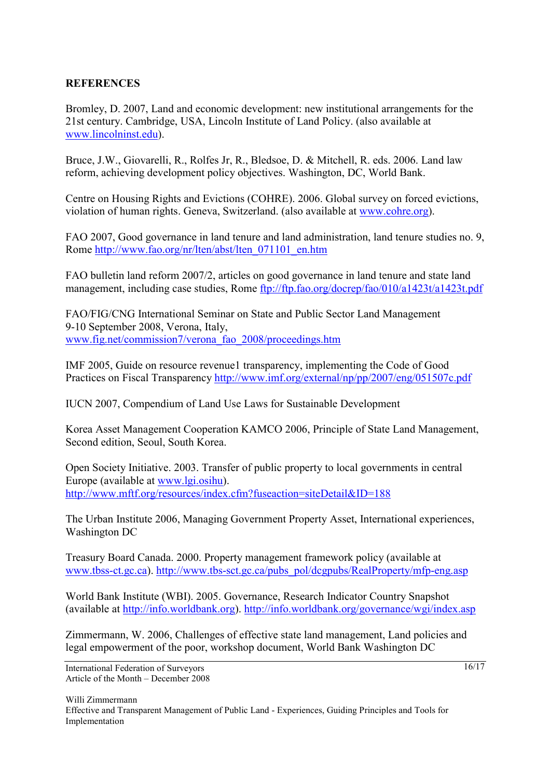### **REFERENCES**

Bromley, D. 2007, Land and economic development: new institutional arrangements for the 21st century. Cambridge, USA, Lincoln Institute of Land Policy. (also available at www.lincolninst.edu).

Bruce, J.W., Giovarelli, R., Rolfes Jr, R., Bledsoe, D. & Mitchell, R. eds. 2006. Land law reform, achieving development policy objectives. Washington, DC, World Bank.

Centre on Housing Rights and Evictions (COHRE). 2006. Global survey on forced evictions, violation of human rights. Geneva, Switzerland. (also available at www.cohre.org).

FAO 2007, Good governance in land tenure and land administration, land tenure studies no. 9, Rome http://www.fao.org/nr/lten/abst/lten\_071101\_en.htm

FAO bulletin land reform 2007/2, articles on good governance in land tenure and state land management, including case studies, Rome ftp://ftp.fao.org/docrep/fao/010/a1423t/a1423t.pdf

FAO/FIG/CNG International Seminar on State and Public Sector Land Management 9-10 September 2008, Verona, Italy, www.fig.net/commission7/verona\_fao\_2008/proceedings.htm

IMF 2005, Guide on resource revenue1 transparency, implementing the Code of Good Practices on Fiscal Transparency http://www.imf.org/external/np/pp/2007/eng/051507c.pdf

IUCN 2007, Compendium of Land Use Laws for Sustainable Development

Korea Asset Management Cooperation KAMCO 2006, Principle of State Land Management, Second edition, Seoul, South Korea.

Open Society Initiative. 2003. Transfer of public property to local governments in central Europe (available at www.lgi.osihu). http://www.mftf.org/resources/index.cfm?fuseaction=siteDetail&ID=188

The Urban Institute 2006, Managing Government Property Asset, International experiences, Washington DC

Treasury Board Canada. 2000. Property management framework policy (available at www.tbss-ct.gc.ca). http://www.tbs-sct.gc.ca/pubs\_pol/dcgpubs/RealProperty/mfp-eng.asp

World Bank Institute (WBI). 2005. Governance, Research Indicator Country Snapshot (available at http://info.worldbank.org). http://info.worldbank.org/governance/wgi/index.asp

Zimmermann, W. 2006, Challenges of effective state land management, Land policies and legal empowerment of the poor, workshop document, World Bank Washington DC

 $16/17$ 

International Federation of Surveyors Article of the Month – December 2008